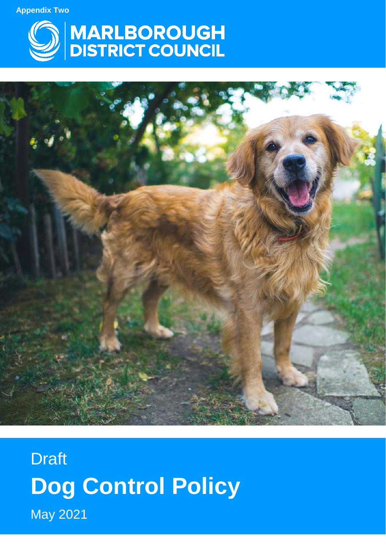**Appendix Two**





**Draft Dog Control Policy** May 2021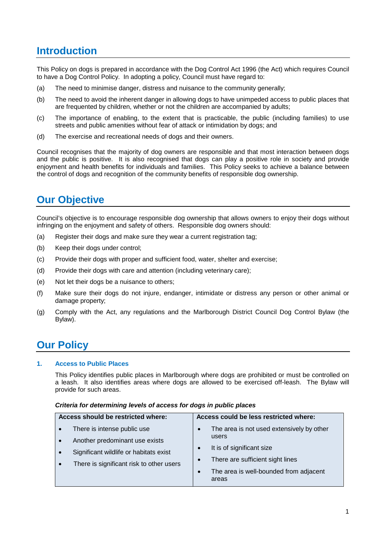# **Introduction**

This Policy on dogs is prepared in accordance with the Dog Control Act 1996 (the Act) which requires Council to have a Dog Control Policy. In adopting a policy, Council must have regard to:

- (a) The need to minimise danger, distress and nuisance to the community generally;
- (b) The need to avoid the inherent danger in allowing dogs to have unimpeded access to public places that are frequented by children, whether or not the children are accompanied by adults;
- (c) The importance of enabling, to the extent that is practicable, the public (including families) to use streets and public amenities without fear of attack or intimidation by dogs; and
- (d) The exercise and recreational needs of dogs and their owners.

Council recognises that the majority of dog owners are responsible and that most interaction between dogs and the public is positive. It is also recognised that dogs can play a positive role in society and provide enjoyment and health benefits for individuals and families. This Policy seeks to achieve a balance between the control of dogs and recognition of the community benefits of responsible dog ownership.

# **Our Objective**

Council's objective is to encourage responsible dog ownership that allows owners to enjoy their dogs without infringing on the enjoyment and safety of others. Responsible dog owners should:

- (a) Register their dogs and make sure they wear a current registration tag;
- (b) Keep their dogs under control;
- (c) Provide their dogs with proper and sufficient food, water, shelter and exercise;
- (d) Provide their dogs with care and attention (including veterinary care);
- (e) Not let their dogs be a nuisance to others;
- (f) Make sure their dogs do not injure, endanger, intimidate or distress any person or other animal or damage property;
- (g) Comply with the Act, any regulations and the Marlborough District Council Dog Control Bylaw (the Bylaw).

## **Our Policy**

### **1. Access to Public Places**

This Policy identifies public places in Marlborough where dogs are prohibited or must be controlled on a leash. It also identifies areas where dogs are allowed to be exercised off-leash. The Bylaw will provide for such areas.

| Access should be restricted where: |                                          | Access could be less restricted where: |                                                 |
|------------------------------------|------------------------------------------|----------------------------------------|-------------------------------------------------|
|                                    | There is intense public use              | $\bullet$                              | The area is not used extensively by other       |
|                                    | Another predominant use exists           |                                        | users                                           |
|                                    | Significant wildlife or habitats exist   |                                        | It is of significant size                       |
|                                    | There is significant risk to other users | $\bullet$                              | There are sufficient sight lines                |
|                                    |                                          | $\bullet$                              | The area is well-bounded from adjacent<br>areas |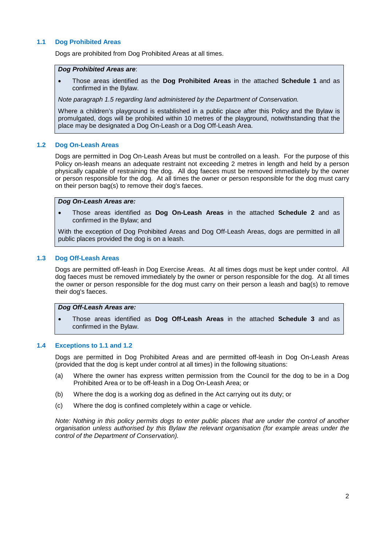### **1.1 Dog Prohibited Areas**

Dogs are prohibited from Dog Prohibited Areas at all times.

#### *Dog Prohibited Areas are*:

• Those areas identified as the **Dog Prohibited Areas** in the attached **Schedule 1** and as confirmed in the Bylaw.

*Note paragraph 1.5 regarding land administered by the Department of Conservation.*

Where a children's playground is established in a public place after this Policy and the Bylaw is promulgated, dogs will be prohibited within 10 metres of the playground, notwithstanding that the place may be designated a Dog On-Leash or a Dog Off-Leash Area.

#### **1.2 Dog On-Leash Areas**

Dogs are permitted in Dog On-Leash Areas but must be controlled on a leash. For the purpose of this Policy on-leash means an adequate restraint not exceeding 2 metres in length and held by a person physically capable of restraining the dog. All dog faeces must be removed immediately by the owner or person responsible for the dog. At all times the owner or person responsible for the dog must carry on their person bag(s) to remove their dog's faeces.

#### *Dog On-Leash Areas are:*

• Those areas identified as **Dog On-Leash Areas** in the attached **Schedule 2** and as confirmed in the Bylaw; and

With the exception of Dog Prohibited Areas and Dog Off-Leash Areas, dogs are permitted in all public places provided the dog is on a leash.

### **1.3 Dog Off-Leash Areas**

Dogs are permitted off-leash in Dog Exercise Areas. At all times dogs must be kept under control. All dog faeces must be removed immediately by the owner or person responsible for the dog. At all times the owner or person responsible for the dog must carry on their person a leash and bag(s) to remove their dog's faeces.

#### *Dog Off-Leash Areas are:*

• Those areas identified as **Dog Off-Leash Areas** in the attached **Schedule 3** and as confirmed in the Bylaw.

#### **1.4 Exceptions to 1.1 and 1.2**

Dogs are permitted in Dog Prohibited Areas and are permitted off-leash in Dog On-Leash Areas (provided that the dog is kept under control at all times) in the following situations:

- (a) Where the owner has express written permission from the Council for the dog to be in a Dog Prohibited Area or to be off-leash in a Dog On-Leash Area; or
- (b) Where the dog is a working dog as defined in the Act carrying out its duty; or
- (c) Where the dog is confined completely within a cage or vehicle.

*Note: Nothing in this policy permits dogs to enter public places that are under the control of another organisation unless authorised by this Bylaw the relevant organisation (for example areas under the control of the Department of Conservation).*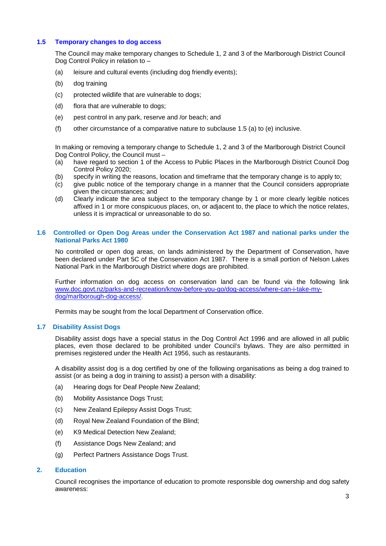### **1.5 Temporary changes to dog access**

The Council may make temporary changes to Schedule 1, 2 and 3 of the Marlborough District Council Dog Control Policy in relation to –

- (a) leisure and cultural events (including dog friendly events);
- (b) dog training
- (c) protected wildlife that are vulnerable to dogs;
- (d) flora that are vulnerable to dogs;
- (e) pest control in any park, reserve and /or beach; and
- (f) other circumstance of a comparative nature to subclause 1.5 (a) to (e) inclusive.

In making or removing a temporary change to Schedule 1, 2 and 3 of the Marlborough District Council Dog Control Policy, the Council must –

- (a) have regard to section 1 of the Access to Public Places in the Marlborough District Council Dog Control Policy 2020;
- (b) specify in writing the reasons, location and timeframe that the temporary change is to apply to;
- (c) give public notice of the temporary change in a manner that the Council considers appropriate given the circumstances; and
- (d) Clearly indicate the area subject to the temporary change by 1 or more clearly legible notices affixed in 1 or more conspicuous places, on, or adjacent to, the place to which the notice relates, unless it is impractical or unreasonable to do so.

### **1.6 Controlled or Open Dog Areas under the Conservation Act 1987 and national parks under the National Parks Act 1980**

No controlled or open dog areas, on lands administered by the Department of Conservation, have been declared under Part 5C of the Conservation Act 1987. There is a small portion of Nelson Lakes National Park in the Marlborough District where dogs are prohibited.

Further information on dog access on conservation land can be found via the following link [www.doc.govt.nz/parks-and-recreation/know-before-you-go/dog-access/where-can-i-take-my](http://www.doc.govt.nz/parks-and-recreation/know-before-you-go/dog-access/where-can-i-take-my-dog/marlborough-dog-access/)[dog/marlborough-dog-access/.](http://www.doc.govt.nz/parks-and-recreation/know-before-you-go/dog-access/where-can-i-take-my-dog/marlborough-dog-access/)

Permits may be sought from the local Department of Conservation office.

### **1.7 Disability Assist Dogs**

Disability assist dogs have a special status in the Dog Control Act 1996 and are allowed in all public places, even those declared to be prohibited under Council's bylaws. They are also permitted in premises registered under the Health Act 1956, such as restaurants.

A disability assist dog is a dog certified by one of the following organisations as being a dog trained to assist (or as being a dog in training to assist) a person with a disability:

- (a) Hearing dogs for Deaf People New Zealand;
- (b) Mobility Assistance Dogs Trust;
- (c) New Zealand Epilepsy Assist Dogs Trust;
- (d) Royal New Zealand Foundation of the Blind;
- (e) K9 Medical Detection New Zealand;
- (f) Assistance Dogs New Zealand; and
- (g) Perfect Partners Assistance Dogs Trust.

#### **2. Education**

Council recognises the importance of education to promote responsible dog ownership and dog safety awareness: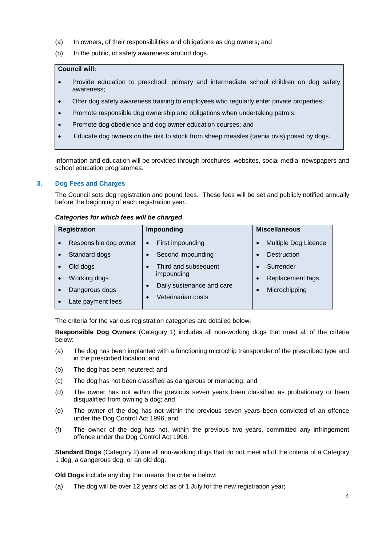- (a) In owners, of their responsibilities and obligations as dog owners; and
- (b) In the public, of safety awareness around dogs.

### **Council will:**

- Provide education to preschool, primary and intermediate school children on dog safety awareness;
- Offer dog safety awareness training to employees who regularly enter private properties;
- Promote responsible dog ownership and obligations when undertaking patrols;
- Promote dog obedience and dog owner education courses; and
- Educate dog owners on the risk to stock from sheep measles (taenia ovis) posed by dogs.

Information and education will be provided through brochures, websites, social media, newspapers and school education programmes.

### **3. Dog Fees and Charges**

The Council sets dog registration and pound fees. These fees will be set and publicly notified annually before the beginning of each registration year.

#### *Categories for which fees will be charged*

| <b>Registration</b>   | <b>Impounding</b>             | <b>Miscellaneous</b> |
|-----------------------|-------------------------------|----------------------|
| Responsible dog owner | First impounding<br>$\bullet$ | Multiple Dog Licence |
| Standard dogs         | Second impounding             | <b>Destruction</b>   |
| Old dogs              | Third and subsequent          | Surrender            |
| Working dogs          | impounding                    | Replacement tags     |
| Dangerous dogs        | Daily sustenance and care     | Microchipping        |
| Late payment fees     | Veterinarian costs            |                      |

The criteria for the various registration categories are detailed below.

**Responsible Dog Owners** (Category 1) includes all non-working dogs that meet all of the criteria below:

- (a) The dog has been implanted with a functioning microchip transponder of the prescribed type and in the prescribed location; and
- (b) The dog has been neutered; and
- (c) The dog has not been classified as dangerous or menacing; and
- (d) The owner has not within the previous seven years been classified as probationary or been disqualified from owning a dog; and
- (e) The owner of the dog has not within the previous seven years been convicted of an offence under the Dog Control Act 1996; and
- (f) The owner of the dog has not, within the previous two years, committed any infringement offence under the Dog Control Act 1996.

**Standard Dogs** (Category 2) are all non-working dogs that do not meet all of the criteria of a Category 1 dog, a dangerous dog, or an old dog.

**Old Dogs** include any dog that means the criteria below:

(a) The dog will be over 12 years old as of 1 July for the new registration year;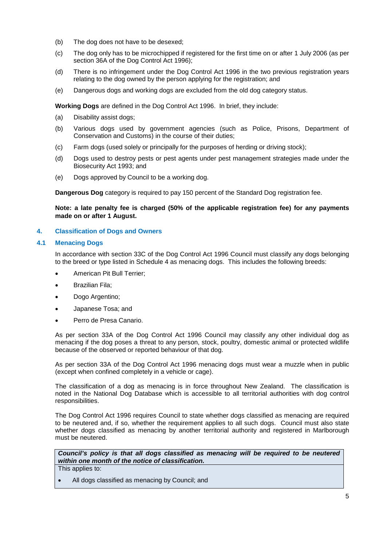- (b) The dog does not have to be desexed;
- (c) The dog only has to be microchipped if registered for the first time on or after 1 July 2006 (as per section 36A of the Dog Control Act 1996);
- (d) There is no infringement under the Dog Control Act 1996 in the two previous registration years relating to the dog owned by the person applying for the registration; and
- (e) Dangerous dogs and working dogs are excluded from the old dog category status.

**Working Dogs** are defined in the Dog Control Act 1996. In brief, they include:

- (a) Disability assist dogs;
- (b) Various dogs used by government agencies (such as Police, Prisons, Department of Conservation and Customs) in the course of their duties;
- (c) Farm dogs (used solely or principally for the purposes of herding or driving stock);
- (d) Dogs used to destroy pests or pest agents under pest management strategies made under the Biosecurity Act 1993; and
- (e) Dogs approved by Council to be a working dog.

**Dangerous Dog** category is required to pay 150 percent of the Standard Dog registration fee.

### **Note: a late penalty fee is charged (50% of the applicable registration fee) for any payments made on or after 1 August.**

### **4. Classification of Dogs and Owners**

### **4.1 Menacing Dogs**

In accordance with section 33C of the Dog Control Act 1996 Council must classify any dogs belonging to the breed or type listed in Schedule 4 as menacing dogs. This includes the following breeds:

- American Pit Bull Terrier;
- Brazilian Fila;
- Dogo Argentino:
- Japanese Tosa; and
- Perro de Presa Canario.

As per section 33A of the Dog Control Act 1996 Council may classify any other individual dog as menacing if the dog poses a threat to any person, stock, poultry, domestic animal or protected wildlife because of the observed or reported behaviour of that dog.

As per section 33A of the Dog Control Act 1996 menacing dogs must wear a muzzle when in public (except when confined completely in a vehicle or cage).

The classification of a dog as menacing is in force throughout New Zealand. The classification is noted in the National Dog Database which is accessible to all territorial authorities with dog control responsibilities.

The Dog Control Act 1996 requires Council to state whether dogs classified as menacing are required to be neutered and, if so, whether the requirement applies to all such dogs. Council must also state whether dogs classified as menacing by another territorial authority and registered in Marlborough must be neutered.

*Council's policy is that all dogs classified as menacing will be required to be neutered within one month of the notice of classification.*  This applies to:

All dogs classified as menacing by Council; and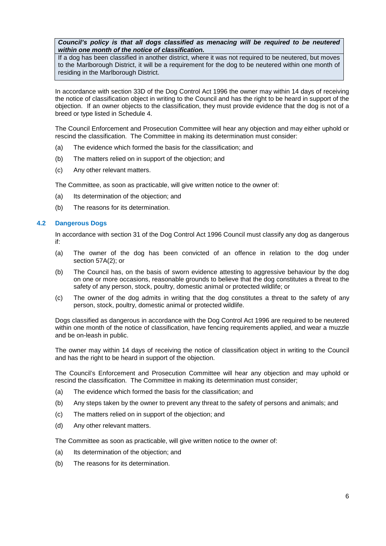*Council's policy is that all dogs classified as menacing will be required to be neutered within one month of the notice of classification.* 

If a dog has been classified in another district, where it was not required to be neutered, but moves to the Marlborough District, it will be a requirement for the dog to be neutered within one month of residing in the Marlborough District.

In accordance with section 33D of the Dog Control Act 1996 the owner may within 14 days of receiving the notice of classification object in writing to the Council and has the right to be heard in support of the objection. If an owner objects to the classification, they must provide evidence that the dog is not of a breed or type listed in [Schedule 4.](http://www.legislation.govt.nz/act/public/1996/0013/latest/link.aspx?id=DLM375498#DLM375498)

The Council Enforcement and Prosecution Committee will hear any objection and may either uphold or rescind the classification. The Committee in making its determination must consider:

- (a) The evidence which formed the basis for the classification; and
- (b) The matters relied on in support of the objection; and
- (c) Any other relevant matters.

The Committee, as soon as practicable, will give written notice to the owner of:

- (a) Its determination of the objection; and
- (b) The reasons for its determination.

#### **4.2 Dangerous Dogs**

In accordance with section 31 of the Dog Control Act 1996 Council must classify any dog as dangerous if:

- (a) The owner of the dog has been convicted of an offence in relation to the dog under section [57A\(2\);](http://www.legislation.govt.nz/act/public/1996/0013/latest/link.aspx?id=DLM375413#DLM375413) or
- (b) The Council has, on the basis of sworn evidence attesting to aggressive behaviour by the dog on one or more occasions, reasonable grounds to believe that the dog constitutes a threat to the safety of any person, stock, poultry, domestic animal or protected wildlife; or
- (c) The owner of the dog admits in writing that the dog constitutes a threat to the safety of any person, stock, poultry, domestic animal or protected wildlife.

Dogs classified as dangerous in accordance with the Dog Control Act 1996 are required to be neutered within one month of the notice of classification, have fencing requirements applied, and wear a muzzle and be on-leash in public.

The owner may within 14 days of receiving the notice of classification object in writing to the Council and has the right to be heard in support of the objection.

The Council's Enforcement and Prosecution Committee will hear any objection and may uphold or rescind the classification. The Committee in making its determination must consider;

- (a) The evidence which formed the basis for the classification; and
- (b) Any steps taken by the owner to prevent any threat to the safety of persons and animals; and
- (c) The matters relied on in support of the objection; and
- (d) Any other relevant matters.

The Committee as soon as practicable, will give written notice to the owner of:

- (a) Its determination of the objection; and
- (b) The reasons for its determination.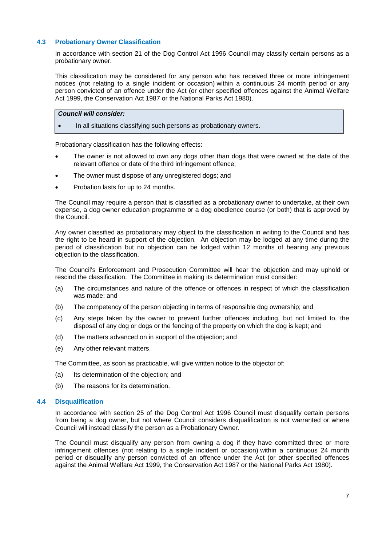### **4.3 Probationary Owner Classification**

In accordance with section 21 of the Dog Control Act 1996 Council may classify certain persons as a probationary owner.

This classification may be considered for any person who has received three or more infringement notices (not relating to a single incident or occasion) within a continuous 24 month period or any person convicted of an offence under the Act (or other specified offences against the Animal Welfare Act 1999, the Conservation Act 1987 or the National Parks Act 1980).

#### *Council will consider:*

• In all situations classifying such persons as probationary owners.

Probationary classification has the following effects:

- The owner is not allowed to own any dogs other than dogs that were owned at the date of the relevant offence or date of the third infringement offence;
- The owner must dispose of any unregistered dogs; and
- Probation lasts for up to 24 months.

The Council may require a person that is classified as a probationary owner to undertake, at their own expense, a dog owner education programme or a dog obedience course (or both) that is approved by the Council.

Any owner classified as probationary may object to the classification in writing to the Council and has the right to be heard in support of the objection. An objection may be lodged at any time during the period of classification but no objection can be lodged within 12 months of hearing any previous objection to the classification.

The Council's Enforcement and Prosecution Committee will hear the objection and may uphold or rescind the classification. The Committee in making its determination must consider:

- (a) The circumstances and nature of the offence or offences in respect of which the classification was made; and
- (b) The competency of the person objecting in terms of responsible dog ownership; and
- (c) Any steps taken by the owner to prevent further offences including, but not limited to, the disposal of any dog or dogs or the fencing of the property on which the dog is kept; and
- (d) The matters advanced on in support of the objection; and
- (e) Any other relevant matters.

The Committee, as soon as practicable, will give written notice to the objector of:

- (a) Its determination of the objection; and
- (b) The reasons for its determination.

#### **4.4 Disqualification**

In accordance with section 25 of the Dog Control Act 1996 Council must disqualify certain persons from being a dog owner, but not where Council considers disqualification is not warranted or where Council will instead classify the person as a Probationary Owner.

The Council must disqualify any person from owning a dog if they have committed three or more infringement offences (not relating to a single incident or occasion) within a continuous 24 month period or disqualify any person convicted of an offence under the Act (or other specified offences against the Animal Welfare Act 1999, the Conservation Act 1987 or the National Parks Act 1980).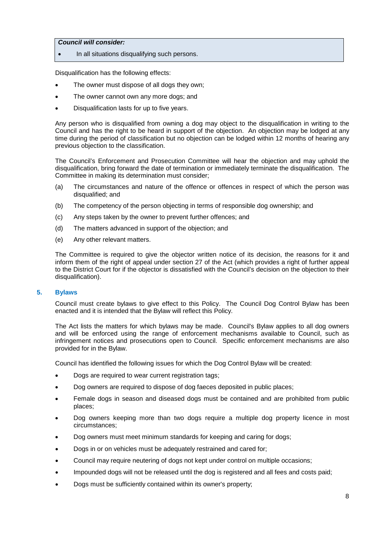### *Council will consider:*

In all situations disqualifying such persons.

Disqualification has the following effects:

- The owner must dispose of all dogs they own;
- The owner cannot own any more dogs; and
- Disqualification lasts for up to five years.

Any person who is disqualified from owning a dog may object to the disqualification in writing to the Council and has the right to be heard in support of the objection. An objection may be lodged at any time during the period of classification but no objection can be lodged within 12 months of hearing any previous objection to the classification.

The Council's Enforcement and Prosecution Committee will hear the objection and may uphold the disqualification, bring forward the date of termination or immediately terminate the disqualification. The Committee in making its determination must consider;

- (a) The circumstances and nature of the offence or offences in respect of which the person was disqualified; and
- (b) The competency of the person objecting in terms of responsible dog ownership; and
- (c) Any steps taken by the owner to prevent further offences; and
- (d) The matters advanced in support of the objection; and
- (e) Any other relevant matters.

The Committee is required to give the objector written notice of its decision, the reasons for it and inform them of the right of appeal under section 27 of the Act (which provides a right of further appeal to the District Court for if the objector is dissatisfied with the Council's decision on the objection to their disqualification).

#### **5. Bylaws**

Council must create bylaws to give effect to this Policy. The Council Dog Control Bylaw has been enacted and it is intended that the Bylaw will reflect this Policy.

The Act lists the matters for which bylaws may be made. Council's Bylaw applies to all dog owners and will be enforced using the range of enforcement mechanisms available to Council, such as infringement notices and prosecutions open to Council. Specific enforcement mechanisms are also provided for in the Bylaw.

Council has identified the following issues for which the Dog Control Bylaw will be created:

- Dogs are required to wear current registration tags;
- Dog owners are required to dispose of dog faeces deposited in public places;
- Female dogs in season and diseased dogs must be contained and are prohibited from public places;
- Dog owners keeping more than two dogs require a multiple dog property licence in most circumstances;
- Dog owners must meet minimum standards for keeping and caring for dogs;
- Dogs in or on vehicles must be adequately restrained and cared for;
- Council may require neutering of dogs not kept under control on multiple occasions;
- Impounded dogs will not be released until the dog is registered and all fees and costs paid;
- Dogs must be sufficiently contained within its owner's property;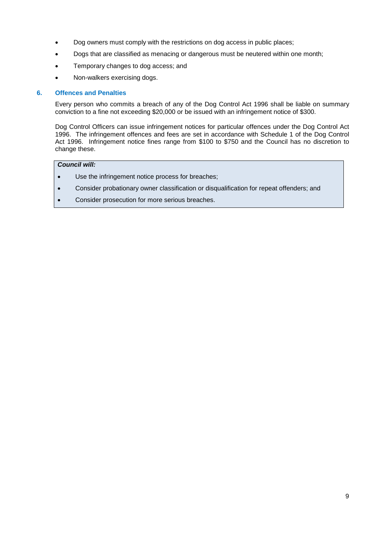- Dog owners must comply with the restrictions on dog access in public places;
- Dogs that are classified as menacing or dangerous must be neutered within one month;
- Temporary changes to dog access; and
- Non-walkers exercising dogs.

### **6. Offences and Penalties**

Every person who commits a breach of any of the Dog Control Act 1996 shall be liable on summary conviction to a fine not exceeding \$20,000 or be issued with an infringement notice of \$300.

Dog Control Officers can issue infringement notices for particular offences under the Dog Control Act 1996. The infringement offences and fees are set in accordance with Schedule 1 of the Dog Control Act 1996. Infringement notice fines range from \$100 to \$750 and the Council has no discretion to change these.

### *Council will:*

- Use the infringement notice process for breaches;
- Consider probationary owner classification or disqualification for repeat offenders; and
- Consider prosecution for more serious breaches.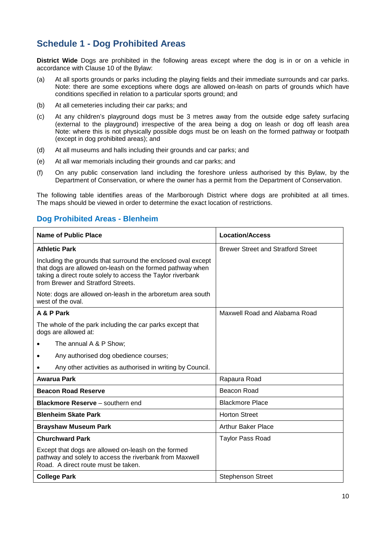## **Schedule 1 - Dog Prohibited Areas**

**District Wide** Dogs are prohibited in the following areas except where the dog is in or on a vehicle in accordance with Clause 10 of the Bylaw:

- (a) At all sports grounds or parks including the playing fields and their immediate surrounds and car parks. Note: there are some exceptions where dogs are allowed on-leash on parts of grounds which have conditions specified in relation to a particular sports ground; and
- (b) At all cemeteries including their car parks; and
- (c) At any children's playground dogs must be 3 metres away from the outside edge safety surfacing (external to the playground) irrespective of the area being a dog on leash or dog off leash area Note: where this is not physically possible dogs must be on leash on the formed pathway or footpath (except in dog prohibited areas); and
- (d) At all museums and halls including their grounds and car parks; and
- (e) At all war memorials including their grounds and car parks; and
- (f) On any public conservation land including the foreshore unless authorised by this Bylaw, by the Department of Conservation, or where the owner has a permit from the Department of Conservation.

The following table identifies areas of the Marlborough District where dogs are prohibited at all times. The maps should be viewed in order to determine the exact location of restrictions.

### **Dog Prohibited Areas - Blenheim**

| <b>Name of Public Place</b>                                                                                                                                                                                                    | <b>Location/Access</b>                    |
|--------------------------------------------------------------------------------------------------------------------------------------------------------------------------------------------------------------------------------|-------------------------------------------|
| <b>Athletic Park</b>                                                                                                                                                                                                           | <b>Brewer Street and Stratford Street</b> |
| Including the grounds that surround the enclosed oval except<br>that dogs are allowed on-leash on the formed pathway when<br>taking a direct route solely to access the Taylor riverbank<br>from Brewer and Stratford Streets. |                                           |
| Note: dogs are allowed on-leash in the arboretum area south<br>west of the oval.                                                                                                                                               |                                           |
| A & P Park                                                                                                                                                                                                                     | Maxwell Road and Alabama Road             |
| The whole of the park including the car parks except that<br>dogs are allowed at:                                                                                                                                              |                                           |
| The annual A & P Show;                                                                                                                                                                                                         |                                           |
| Any authorised dog obedience courses;                                                                                                                                                                                          |                                           |
| Any other activities as authorised in writing by Council.                                                                                                                                                                      |                                           |
| <b>Awarua Park</b>                                                                                                                                                                                                             | Rapaura Road                              |
| <b>Beacon Road Reserve</b>                                                                                                                                                                                                     | Beacon Road                               |
| <b>Blackmore Reserve - southern end</b>                                                                                                                                                                                        | <b>Blackmore Place</b>                    |
| <b>Blenheim Skate Park</b>                                                                                                                                                                                                     | <b>Horton Street</b>                      |
| <b>Brayshaw Museum Park</b>                                                                                                                                                                                                    | <b>Arthur Baker Place</b>                 |
| <b>Churchward Park</b>                                                                                                                                                                                                         | <b>Taylor Pass Road</b>                   |
| Except that dogs are allowed on-leash on the formed<br>pathway and solely to access the riverbank from Maxwell<br>Road. A direct route must be taken.                                                                          |                                           |
| <b>College Park</b>                                                                                                                                                                                                            | <b>Stephenson Street</b>                  |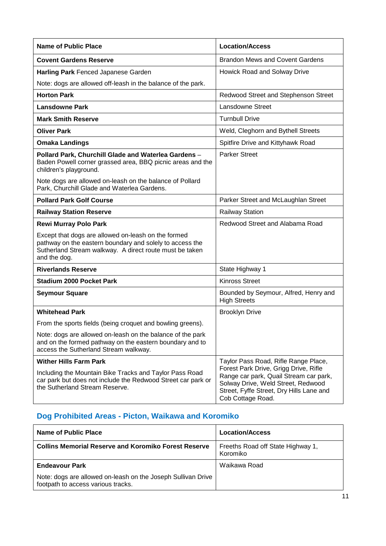| <b>Name of Public Place</b>                                                                                                                                                                | <b>Location/Access</b>                                                                                                                                                                 |
|--------------------------------------------------------------------------------------------------------------------------------------------------------------------------------------------|----------------------------------------------------------------------------------------------------------------------------------------------------------------------------------------|
| <b>Covent Gardens Reserve</b>                                                                                                                                                              | <b>Brandon Mews and Covent Gardens</b>                                                                                                                                                 |
| Harling Park Fenced Japanese Garden                                                                                                                                                        | Howick Road and Solway Drive                                                                                                                                                           |
| Note: dogs are allowed off-leash in the balance of the park.                                                                                                                               |                                                                                                                                                                                        |
| <b>Horton Park</b>                                                                                                                                                                         | Redwood Street and Stephenson Street                                                                                                                                                   |
| <b>Lansdowne Park</b>                                                                                                                                                                      | Lansdowne Street                                                                                                                                                                       |
| <b>Mark Smith Reserve</b>                                                                                                                                                                  | <b>Turnbull Drive</b>                                                                                                                                                                  |
| <b>Oliver Park</b>                                                                                                                                                                         | Weld, Cleghorn and Bythell Streets                                                                                                                                                     |
| <b>Omaka Landings</b>                                                                                                                                                                      | Spitfire Drive and Kittyhawk Road                                                                                                                                                      |
| Pollard Park, Churchill Glade and Waterlea Gardens -<br>Baden Powell corner grassed area, BBQ picnic areas and the<br>children's playground.                                               | <b>Parker Street</b>                                                                                                                                                                   |
| Note dogs are allowed on-leash on the balance of Pollard<br>Park, Churchill Glade and Waterlea Gardens.                                                                                    |                                                                                                                                                                                        |
| <b>Pollard Park Golf Course</b>                                                                                                                                                            | Parker Street and McLaughlan Street                                                                                                                                                    |
| <b>Railway Station Reserve</b>                                                                                                                                                             | <b>Railway Station</b>                                                                                                                                                                 |
| <b>Rewi Murray Polo Park</b>                                                                                                                                                               | Redwood Street and Alabama Road                                                                                                                                                        |
| Except that dogs are allowed on-leash on the formed<br>pathway on the eastern boundary and solely to access the<br>Sutherland Stream walkway. A direct route must be taken<br>and the dog. |                                                                                                                                                                                        |
| <b>Riverlands Reserve</b>                                                                                                                                                                  | State Highway 1                                                                                                                                                                        |
| <b>Stadium 2000 Pocket Park</b>                                                                                                                                                            | <b>Kinross Street</b>                                                                                                                                                                  |
| <b>Seymour Square</b>                                                                                                                                                                      | Bounded by Seymour, Alfred, Henry and<br><b>High Streets</b>                                                                                                                           |
| <b>Whitehead Park</b>                                                                                                                                                                      | <b>Brooklyn Drive</b>                                                                                                                                                                  |
| From the sports fields (being croquet and bowling greens).                                                                                                                                 |                                                                                                                                                                                        |
| Note: dogs are allowed on-leash on the balance of the park<br>and on the formed pathway on the eastern boundary and to<br>access the Sutherland Stream walkway.                            |                                                                                                                                                                                        |
| <b>Wither Hills Farm Park</b>                                                                                                                                                              | Taylor Pass Road, Rifle Range Place,                                                                                                                                                   |
| Including the Mountain Bike Tracks and Taylor Pass Road<br>car park but does not include the Redwood Street car park or<br>the Sutherland Stream Reserve.                                  | Forest Park Drive, Grigg Drive, Rifle<br>Range car park, Quail Stream car park,<br>Solway Drive, Weld Street, Redwood<br>Street, Fyffe Street, Dry Hills Lane and<br>Cob Cottage Road. |

## **Dog Prohibited Areas - Picton, Waikawa and Koromiko**

| Name of Public Place                                                                               | <b>Location/Access</b>                        |
|----------------------------------------------------------------------------------------------------|-----------------------------------------------|
| <b>Collins Memorial Reserve and Koromiko Forest Reserve</b>                                        | Freeths Road off State Highway 1,<br>Koromiko |
| <b>Endeavour Park</b>                                                                              | Waikawa Road                                  |
| Note: dogs are allowed on-leash on the Joseph Sullivan Drive<br>footpath to access various tracks. |                                               |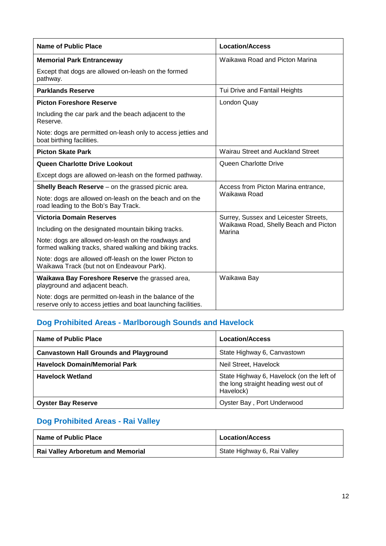| Name of Public Place                                                                                                     | <b>Location/Access</b>                                                                   |  |
|--------------------------------------------------------------------------------------------------------------------------|------------------------------------------------------------------------------------------|--|
| <b>Memorial Park Entranceway</b>                                                                                         | Waikawa Road and Picton Marina                                                           |  |
| Except that dogs are allowed on-leash on the formed<br>pathway.                                                          |                                                                                          |  |
| <b>Parklands Reserve</b>                                                                                                 | Tui Drive and Fantail Heights                                                            |  |
| <b>Picton Foreshore Reserve</b>                                                                                          | London Quay                                                                              |  |
| Including the car park and the beach adjacent to the<br>Reserve.                                                         |                                                                                          |  |
| Note: dogs are permitted on-leash only to access jetties and<br>boat birthing facilities.                                |                                                                                          |  |
| <b>Picton Skate Park</b>                                                                                                 | Wairau Street and Auckland Street                                                        |  |
| Queen Charlotte Drive Lookout                                                                                            | Queen Charlotte Drive                                                                    |  |
| Except dogs are allowed on-leash on the formed pathway.                                                                  |                                                                                          |  |
| <b>Shelly Beach Reserve</b> – on the grassed picnic area.                                                                | Access from Picton Marina entrance,                                                      |  |
| Note: dogs are allowed on-leash on the beach and on the<br>road leading to the Bob's Bay Track.                          | Waikawa Road                                                                             |  |
| <b>Victoria Domain Reserves</b>                                                                                          | Surrey, Sussex and Leicester Streets,<br>Waikawa Road, Shelly Beach and Picton<br>Marina |  |
| Including on the designated mountain biking tracks.                                                                      |                                                                                          |  |
| Note: dogs are allowed on-leash on the roadways and<br>formed walking tracks, shared walking and biking tracks.          |                                                                                          |  |
| Note: dogs are allowed off-leash on the lower Picton to<br>Waikawa Track (but not on Endeavour Park).                    |                                                                                          |  |
| Waikawa Bay Foreshore Reserve the grassed area,<br>playground and adjacent beach.                                        | Waikawa Bay                                                                              |  |
| Note: dogs are permitted on-leash in the balance of the<br>reserve only to access jetties and boat launching facilities. |                                                                                          |  |

## **Dog Prohibited Areas - Marlborough Sounds and Havelock**

| Name of Public Place                          | <b>Location/Access</b>                                                                          |
|-----------------------------------------------|-------------------------------------------------------------------------------------------------|
| <b>Canvastown Hall Grounds and Playground</b> | State Highway 6, Canvastown                                                                     |
| <b>Havelock Domain/Memorial Park</b>          | Neil Street, Havelock                                                                           |
| <b>Havelock Wetland</b>                       | State Highway 6, Havelock (on the left of<br>the long straight heading west out of<br>Havelock) |
| <b>Oyster Bay Reserve</b>                     | Oyster Bay, Port Underwood                                                                      |

## **Dog Prohibited Areas - Rai Valley**

| Name of Public Place                     | <b>Location/Access</b>      |
|------------------------------------------|-----------------------------|
| <b>Rai Valley Arboretum and Memorial</b> | State Highway 6, Rai Valley |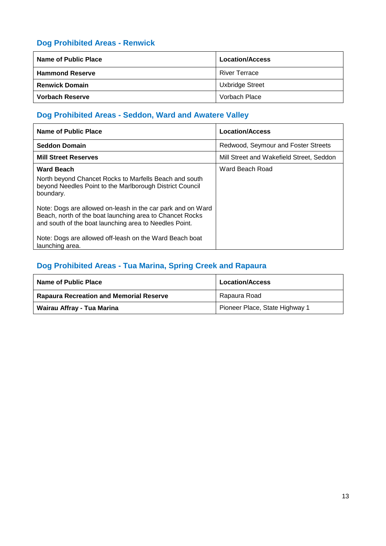### **Dog Prohibited Areas - Renwick**

| Name of Public Place   | <b>Location/Access</b> |
|------------------------|------------------------|
| <b>Hammond Reserve</b> | <b>River Terrace</b>   |
| <b>Renwick Domain</b>  | Uxbridge Street        |
| <b>Vorbach Reserve</b> | Vorbach Place          |

### **Dog Prohibited Areas - Seddon, Ward and Awatere Valley**

| Name of Public Place                                                                                                                                                              | <b>Location/Access</b>                   |
|-----------------------------------------------------------------------------------------------------------------------------------------------------------------------------------|------------------------------------------|
| <b>Seddon Domain</b>                                                                                                                                                              | Redwood, Seymour and Foster Streets      |
| <b>Mill Street Reserves</b>                                                                                                                                                       | Mill Street and Wakefield Street, Seddon |
| <b>Ward Beach</b><br>North beyond Chancet Rocks to Marfells Beach and south<br>beyond Needles Point to the Marlborough District Council<br>boundary.                              | Ward Beach Road                          |
| Note: Dogs are allowed on-leash in the car park and on Ward<br>Beach, north of the boat launching area to Chancet Rocks<br>and south of the boat launching area to Needles Point. |                                          |
| Note: Dogs are allowed off-leash on the Ward Beach boat<br>launching area.                                                                                                        |                                          |

### **Dog Prohibited Areas - Tua Marina, Spring Creek and Rapaura**

| Name of Public Place                           | <b>Location/Access</b>         |
|------------------------------------------------|--------------------------------|
| <b>Rapaura Recreation and Memorial Reserve</b> | Rapaura Road                   |
| Wairau Affray - Tua Marina                     | Pioneer Place, State Highway 1 |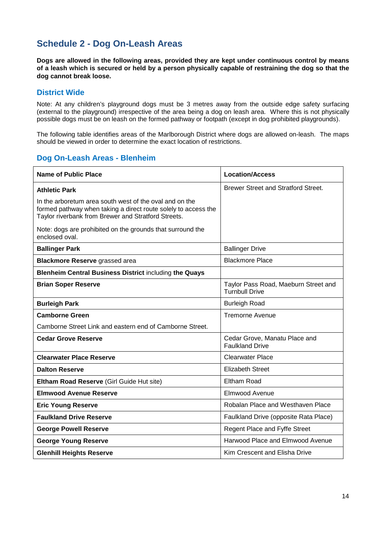## **Schedule 2 - Dog On-Leash Areas**

**Dogs are allowed in the following areas, provided they are kept under continuous control by means of a leash which is secured or held by a person physically capable of restraining the dog so that the dog cannot break loose.**

### **District Wide**

Note: At any children's playground dogs must be 3 metres away from the outside edge safety surfacing (external to the playground) irrespective of the area being a dog on leash area. Where this is not physically possible dogs must be on leash on the formed pathway or footpath (except in dog prohibited playgrounds).

The following table identifies areas of the Marlborough District where dogs are allowed on-leash. The maps should be viewed in order to determine the exact location of restrictions.

### **Dog On-Leash Areas - Blenheim**

| <b>Name of Public Place</b>                                                                                                                                                      | <b>Location/Access</b>                                        |
|----------------------------------------------------------------------------------------------------------------------------------------------------------------------------------|---------------------------------------------------------------|
| <b>Athletic Park</b>                                                                                                                                                             | <b>Brewer Street and Stratford Street.</b>                    |
| In the arboretum area south west of the oval and on the<br>formed pathway when taking a direct route solely to access the<br>Taylor riverbank from Brewer and Stratford Streets. |                                                               |
| Note: dogs are prohibited on the grounds that surround the<br>enclosed oval.                                                                                                     |                                                               |
| <b>Ballinger Park</b>                                                                                                                                                            | <b>Ballinger Drive</b>                                        |
| <b>Blackmore Reserve grassed area</b>                                                                                                                                            | <b>Blackmore Place</b>                                        |
| <b>Blenheim Central Business District including the Quays</b>                                                                                                                    |                                                               |
| <b>Brian Soper Reserve</b>                                                                                                                                                       | Taylor Pass Road, Maeburn Street and<br><b>Turnbull Drive</b> |
| <b>Burleigh Park</b>                                                                                                                                                             | <b>Burleigh Road</b>                                          |
| <b>Camborne Green</b>                                                                                                                                                            | <b>Tremorne Avenue</b>                                        |
| Camborne Street Link and eastern end of Camborne Street.                                                                                                                         |                                                               |
| <b>Cedar Grove Reserve</b>                                                                                                                                                       | Cedar Grove, Manatu Place and<br><b>Faulkland Drive</b>       |
| <b>Clearwater Place Reserve</b>                                                                                                                                                  | <b>Clearwater Place</b>                                       |
| <b>Dalton Reserve</b>                                                                                                                                                            | <b>Elizabeth Street</b>                                       |
| Eltham Road Reserve (Girl Guide Hut site)                                                                                                                                        | Eltham Road                                                   |
| <b>Elmwood Avenue Reserve</b>                                                                                                                                                    | Elmwood Avenue                                                |
| <b>Eric Young Reserve</b>                                                                                                                                                        | Robalan Place and Westhaven Place                             |
| <b>Faulkland Drive Reserve</b>                                                                                                                                                   | Faulkland Drive (opposite Rata Place)                         |
| <b>George Powell Reserve</b>                                                                                                                                                     | Regent Place and Fyffe Street                                 |
| <b>George Young Reserve</b>                                                                                                                                                      | Harwood Place and Elmwood Avenue                              |
| <b>Glenhill Heights Reserve</b>                                                                                                                                                  | Kim Crescent and Elisha Drive                                 |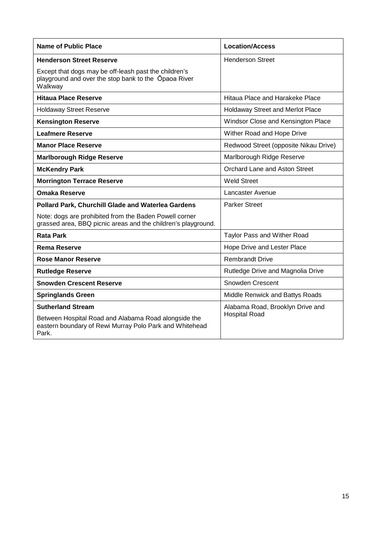| <b>Name of Public Place</b>                                                                                              | <b>Location/Access</b>                |
|--------------------------------------------------------------------------------------------------------------------------|---------------------------------------|
| <b>Henderson Street Reserve</b>                                                                                          | <b>Henderson Street</b>               |
| Except that dogs may be off-leash past the children's<br>playground and over the stop bank to the Opaoa River<br>Walkway |                                       |
| <b>Hitaua Place Reserve</b>                                                                                              | Hitaua Place and Harakeke Place       |
| <b>Holdaway Street Reserve</b>                                                                                           | Holdaway Street and Merlot Place      |
| <b>Kensington Reserve</b>                                                                                                | Windsor Close and Kensington Place    |
| <b>Leafmere Reserve</b>                                                                                                  | Wither Road and Hope Drive            |
| <b>Manor Place Reserve</b>                                                                                               | Redwood Street (opposite Nikau Drive) |
| <b>Marlborough Ridge Reserve</b>                                                                                         | Marlborough Ridge Reserve             |
| <b>McKendry Park</b>                                                                                                     | Orchard Lane and Aston Street         |
| <b>Morrington Terrace Reserve</b>                                                                                        | <b>Weld Street</b>                    |
| <b>Omaka Reserve</b>                                                                                                     | Lancaster Avenue                      |
| <b>Pollard Park, Churchill Glade and Waterlea Gardens</b>                                                                | <b>Parker Street</b>                  |
| Note: dogs are prohibited from the Baden Powell corner<br>grassed area, BBQ picnic areas and the children's playground.  |                                       |
| <b>Rata Park</b>                                                                                                         | Taylor Pass and Wither Road           |
| <b>Rema Reserve</b>                                                                                                      | Hope Drive and Lester Place           |
| <b>Rose Manor Reserve</b>                                                                                                | <b>Rembrandt Drive</b>                |
| <b>Rutledge Reserve</b>                                                                                                  | Rutledge Drive and Magnolia Drive     |
| <b>Snowden Crescent Reserve</b>                                                                                          | Snowden Crescent                      |
| <b>Springlands Green</b>                                                                                                 | Middle Renwick and Battys Roads       |
| <b>Sutherland Stream</b>                                                                                                 | Alabama Road, Brooklyn Drive and      |
| Between Hospital Road and Alabama Road alongside the<br>eastern boundary of Rewi Murray Polo Park and Whitehead<br>Park. | <b>Hospital Road</b>                  |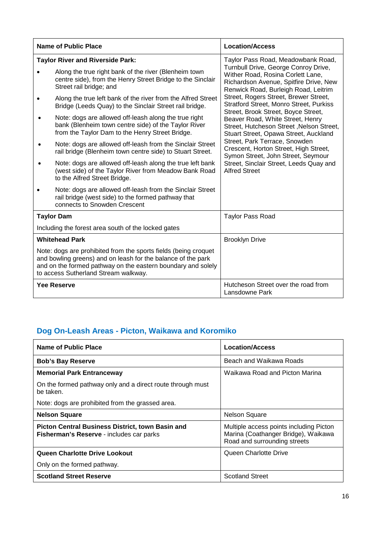|           | <b>Name of Public Place</b>                                                                                                                                                                                                             | <b>Location/Access</b>                                                                                                                                      |
|-----------|-----------------------------------------------------------------------------------------------------------------------------------------------------------------------------------------------------------------------------------------|-------------------------------------------------------------------------------------------------------------------------------------------------------------|
|           | <b>Taylor River and Riverside Park:</b>                                                                                                                                                                                                 | Taylor Pass Road, Meadowbank Road,                                                                                                                          |
|           | Along the true right bank of the river (Blenheim town<br>centre side), from the Henry Street Bridge to the Sinclair<br>Street rail bridge; and                                                                                          | Turnbull Drive, George Conroy Drive,<br>Wither Road, Rosina Corlett Lane,<br>Richardson Avenue, Spitfire Drive, New<br>Renwick Road, Burleigh Road, Leitrim |
|           | Along the true left bank of the river from the Alfred Street<br>Bridge (Leeds Quay) to the Sinclair Street rail bridge.                                                                                                                 | Street, Rogers Street, Brewer Street,<br><b>Stratford Street, Monro Street, Purkiss</b><br>Street, Brook Street, Boyce Street,                              |
| $\bullet$ | Note: dogs are allowed off-leash along the true right<br>bank (Blenheim town centre side) of the Taylor River<br>from the Taylor Dam to the Henry Street Bridge.                                                                        | Beaver Road, White Street, Henry<br>Street, Hutcheson Street, Nelson Street,<br>Stuart Street, Opawa Street, Auckland                                       |
| $\bullet$ | Note: dogs are allowed off-leash from the Sinclair Street<br>rail bridge (Blenheim town centre side) to Stuart Street.                                                                                                                  | Street, Park Terrace, Snowden<br>Crescent, Horton Street, High Street,<br>Symon Street, John Street, Seymour                                                |
|           | Note: dogs are allowed off-leash along the true left bank<br>(west side) of the Taylor River from Meadow Bank Road<br>to the Alfred Street Bridge.                                                                                      | Street, Sinclair Street, Leeds Quay and<br><b>Alfred Street</b>                                                                                             |
|           | Note: dogs are allowed off-leash from the Sinclair Street<br>rail bridge (west side) to the formed pathway that<br>connects to Snowden Crescent                                                                                         |                                                                                                                                                             |
|           | <b>Taylor Dam</b>                                                                                                                                                                                                                       | <b>Taylor Pass Road</b>                                                                                                                                     |
|           | Including the forest area south of the locked gates                                                                                                                                                                                     |                                                                                                                                                             |
|           | <b>Whitehead Park</b>                                                                                                                                                                                                                   | <b>Brooklyn Drive</b>                                                                                                                                       |
|           | Note: dogs are prohibited from the sports fields (being croquet<br>and bowling greens) and on leash for the balance of the park<br>and on the formed pathway on the eastern boundary and solely<br>to access Sutherland Stream walkway. |                                                                                                                                                             |
|           | <b>Yee Reserve</b>                                                                                                                                                                                                                      | Hutcheson Street over the road from<br>Lansdowne Park                                                                                                       |

## **Dog On-Leash Areas - Picton, Waikawa and Koromiko**

| Name of Public Place                                                                                | <b>Location/Access</b>                                                                                         |
|-----------------------------------------------------------------------------------------------------|----------------------------------------------------------------------------------------------------------------|
| <b>Bob's Bay Reserve</b>                                                                            | Beach and Waikawa Roads                                                                                        |
| <b>Memorial Park Entranceway</b>                                                                    | Waikawa Road and Picton Marina                                                                                 |
| On the formed pathway only and a direct route through must<br>be taken.                             |                                                                                                                |
| Note: dogs are prohibited from the grassed area.                                                    |                                                                                                                |
| <b>Nelson Square</b>                                                                                | <b>Nelson Square</b>                                                                                           |
| <b>Picton Central Business District, town Basin and</b><br>Fisherman's Reserve - includes car parks | Multiple access points including Picton<br>Marina (Coathanger Bridge), Waikawa<br>Road and surrounding streets |
| Queen Charlotte Drive Lookout                                                                       | Queen Charlotte Drive                                                                                          |
| Only on the formed pathway.                                                                         |                                                                                                                |
| <b>Scotland Street Reserve</b>                                                                      | <b>Scotland Street</b>                                                                                         |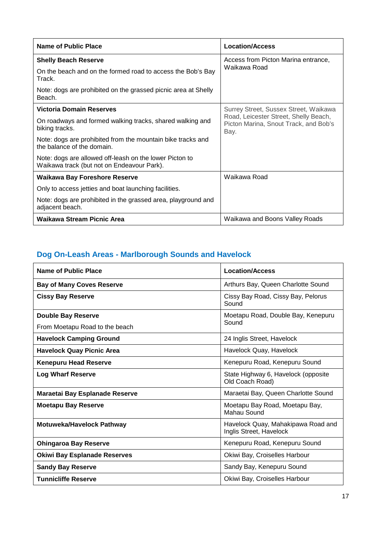| Name of Public Place                                                                                  | <b>Location/Access</b>                                                                 |
|-------------------------------------------------------------------------------------------------------|----------------------------------------------------------------------------------------|
| <b>Shelly Beach Reserve</b>                                                                           | Access from Picton Marina entrance,                                                    |
| On the beach and on the formed road to access the Bob's Bay<br>Track.                                 | Waikawa Road                                                                           |
| Note: dogs are prohibited on the grassed picnic area at Shelly<br>Beach.                              |                                                                                        |
| <b>Victoria Domain Reserves</b>                                                                       | Surrey Street, Sussex Street, Waikawa                                                  |
| On roadways and formed walking tracks, shared walking and<br>biking tracks.                           | Road, Leicester Street, Shelly Beach,<br>Picton Marina, Snout Track, and Bob's<br>Bay. |
| Note: dogs are prohibited from the mountain bike tracks and<br>the balance of the domain.             |                                                                                        |
| Note: dogs are allowed off-leash on the lower Picton to<br>Waikawa track (but not on Endeavour Park). |                                                                                        |
| <b>Waikawa Bay Foreshore Reserve</b>                                                                  | Waikawa Road                                                                           |
| Only to access jetties and boat launching facilities.                                                 |                                                                                        |
| Note: dogs are prohibited in the grassed area, playground and<br>adjacent beach.                      |                                                                                        |
| Waikawa Stream Picnic Area                                                                            | Waikawa and Boons Valley Roads                                                         |

# **Dog On-Leash Areas - Marlborough Sounds and Havelock**

| <b>Name of Public Place</b>         | <b>Location/Access</b>                                        |
|-------------------------------------|---------------------------------------------------------------|
| <b>Bay of Many Coves Reserve</b>    | Arthurs Bay, Queen Charlotte Sound                            |
| <b>Cissy Bay Reserve</b>            | Cissy Bay Road, Cissy Bay, Pelorus<br>Sound                   |
| <b>Double Bay Reserve</b>           | Moetapu Road, Double Bay, Kenepuru                            |
| From Moetapu Road to the beach      | Sound                                                         |
| <b>Havelock Camping Ground</b>      | 24 Inglis Street, Havelock                                    |
| <b>Havelock Quay Picnic Area</b>    | Havelock Quay, Havelock                                       |
| <b>Kenepuru Head Reserve</b>        | Kenepuru Road, Kenepuru Sound                                 |
| <b>Log Wharf Reserve</b>            | State Highway 6, Havelock (opposite<br>Old Coach Road)        |
| Maraetai Bay Esplanade Reserve      | Maraetai Bay, Queen Charlotte Sound                           |
| <b>Moetapu Bay Reserve</b>          | Moetapu Bay Road, Moetapu Bay,<br>Mahau Sound                 |
| Motuweka/Havelock Pathway           | Havelock Quay, Mahakipawa Road and<br>Inglis Street, Havelock |
| <b>Ohingaroa Bay Reserve</b>        | Kenepuru Road, Kenepuru Sound                                 |
| <b>Okiwi Bay Esplanade Reserves</b> | Okiwi Bay, Croiselles Harbour                                 |
| <b>Sandy Bay Reserve</b>            | Sandy Bay, Kenepuru Sound                                     |
| <b>Tunnicliffe Reserve</b>          | Okiwi Bay, Croiselles Harbour                                 |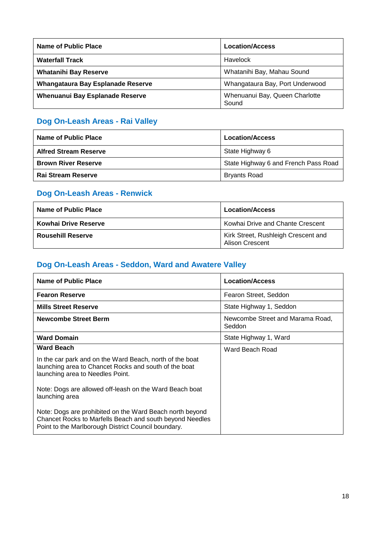| Name of Public Place              | <b>Location/Access</b>                  |
|-----------------------------------|-----------------------------------------|
| <b>Waterfall Track</b>            | Havelock                                |
| <b>Whatanihi Bay Reserve</b>      | Whatanihi Bay, Mahau Sound              |
| Whangataura Bay Esplanade Reserve | Whangataura Bay, Port Underwood         |
| Whenuanui Bay Esplanade Reserve   | Whenuanui Bay, Queen Charlotte<br>Sound |

## **Dog On-Leash Areas - Rai Valley**

| Name of Public Place         | <b>Location/Access</b>               |
|------------------------------|--------------------------------------|
| <b>Alfred Stream Reserve</b> | State Highway 6                      |
| <b>Brown River Reserve</b>   | State Highway 6 and French Pass Road |
| Rai Stream Reserve           | <b>Bryants Road</b>                  |

## **Dog On-Leash Areas - Renwick**

| Name of Public Place     | <b>Location/Access</b>                                        |
|--------------------------|---------------------------------------------------------------|
| Kowhai Drive Reserve     | Kowhai Drive and Chante Crescent                              |
| <b>Rousehill Reserve</b> | Kirk Street, Rushleigh Crescent and<br><b>Alison Crescent</b> |

## **Dog On-Leash Areas - Seddon, Ward and Awatere Valley**

| Name of Public Place                                                                                                                                                        | <b>Location/Access</b>                     |
|-----------------------------------------------------------------------------------------------------------------------------------------------------------------------------|--------------------------------------------|
| <b>Fearon Reserve</b>                                                                                                                                                       | Fearon Street, Seddon                      |
| <b>Mills Street Reserve</b>                                                                                                                                                 | State Highway 1, Seddon                    |
| <b>Newcombe Street Berm</b>                                                                                                                                                 | Newcombe Street and Marama Road,<br>Seddon |
| <b>Ward Domain</b>                                                                                                                                                          | State Highway 1, Ward                      |
| <b>Ward Beach</b>                                                                                                                                                           | Ward Beach Road                            |
| In the car park and on the Ward Beach, north of the boat<br>launching area to Chancet Rocks and south of the boat<br>launching area to Needles Point.                       |                                            |
| Note: Dogs are allowed off-leash on the Ward Beach boat<br>launching area                                                                                                   |                                            |
| Note: Dogs are prohibited on the Ward Beach north beyond<br>Chancet Rocks to Marfells Beach and south beyond Needles<br>Point to the Marlborough District Council boundary. |                                            |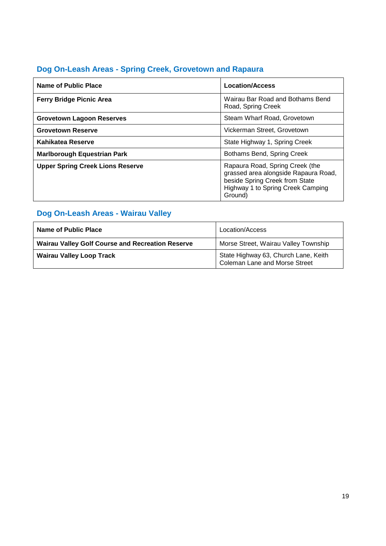## **Dog On-Leash Areas - Spring Creek, Grovetown and Rapaura**

| Name of Public Place                    | <b>Location/Access</b>                                                                                                                                    |
|-----------------------------------------|-----------------------------------------------------------------------------------------------------------------------------------------------------------|
| <b>Ferry Bridge Picnic Area</b>         | Wairau Bar Road and Bothams Bend<br>Road, Spring Creek                                                                                                    |
| <b>Grovetown Lagoon Reserves</b>        | Steam Wharf Road, Grovetown                                                                                                                               |
| <b>Grovetown Reserve</b>                | Vickerman Street, Grovetown                                                                                                                               |
| Kahikatea Reserve                       | State Highway 1, Spring Creek                                                                                                                             |
| <b>Marlborough Equestrian Park</b>      | Bothams Bend, Spring Creek                                                                                                                                |
| <b>Upper Spring Creek Lions Reserve</b> | Rapaura Road, Spring Creek (the<br>grassed area alongside Rapaura Road,<br>beside Spring Creek from State<br>Highway 1 to Spring Creek Camping<br>Ground) |

# **Dog On-Leash Areas - Wairau Valley**

| Name of Public Place                                    | Location/Access                                                       |
|---------------------------------------------------------|-----------------------------------------------------------------------|
| <b>Wairau Valley Golf Course and Recreation Reserve</b> | Morse Street, Wairau Valley Township                                  |
| <b>Wairau Valley Loop Track</b>                         | State Highway 63, Church Lane, Keith<br>Coleman Lane and Morse Street |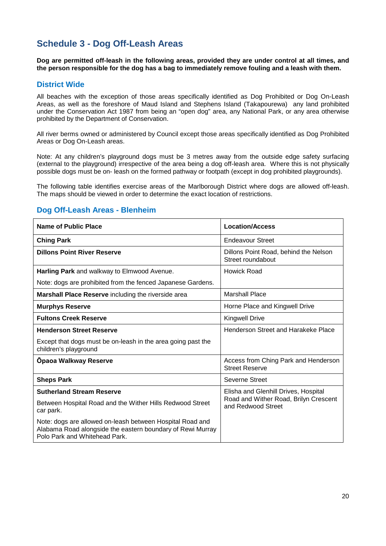## **Schedule 3 - Dog Off-Leash Areas**

**Dog are permitted off-leash in the following areas, provided they are under control at all times, and the person responsible for the dog has a bag to immediately remove fouling and a leash with them.**

### **District Wide**

All beaches with the exception of those areas specifically identified as Dog Prohibited or Dog On-Leash Areas, as well as the foreshore of Maud Island and Stephens Island (Takapourewa) any land prohibited under the Conservation Act 1987 from being an "open dog" area, any National Park, or any area otherwise prohibited by the Department of Conservation.

All river berms owned or administered by Council except those areas specifically identified as Dog Prohibited Areas or Dog On-Leash areas.

Note: At any children's playground dogs must be 3 metres away from the outside edge safety surfacing (external to the playground) irrespective of the area being a dog off-leash area. Where this is not physically possible dogs must be on- leash on the formed pathway or footpath (except in dog prohibited playgrounds).

The following table identifies exercise areas of the Marlborough District where dogs are allowed off-leash. The maps should be viewed in order to determine the exact location of restrictions.

### **Dog Off-Leash Areas - Blenheim**

| Name of Public Place                                                                                                                                     | <b>Location/Access</b>                                        |
|----------------------------------------------------------------------------------------------------------------------------------------------------------|---------------------------------------------------------------|
| <b>Ching Park</b>                                                                                                                                        | <b>Endeavour Street</b>                                       |
| <b>Dillons Point River Reserve</b>                                                                                                                       | Dillons Point Road, behind the Nelson<br>Street roundabout    |
| Harling Park and walkway to Elmwood Avenue.                                                                                                              | Howick Road                                                   |
| Note: dogs are prohibited from the fenced Japanese Gardens.                                                                                              |                                                               |
| Marshall Place Reserve including the riverside area                                                                                                      | <b>Marshall Place</b>                                         |
| <b>Murphys Reserve</b>                                                                                                                                   | Horne Place and Kingwell Drive                                |
| <b>Fultons Creek Reserve</b>                                                                                                                             | <b>Kingwell Drive</b>                                         |
| <b>Henderson Street Reserve</b>                                                                                                                          | Henderson Street and Harakeke Place                           |
| Except that dogs must be on-leash in the area going past the<br>children's playground                                                                    |                                                               |
| Opaoa Walkway Reserve                                                                                                                                    | Access from Ching Park and Henderson<br><b>Street Reserve</b> |
| <b>Sheps Park</b>                                                                                                                                        | Severne Street                                                |
| <b>Sutherland Stream Reserve</b>                                                                                                                         | Elisha and Glenhill Drives, Hospital                          |
| Between Hospital Road and the Wither Hills Redwood Street<br>car park.                                                                                   | Road and Wither Road, Brilyn Crescent<br>and Redwood Street   |
| Note: dogs are allowed on-leash between Hospital Road and<br>Alabama Road alongside the eastern boundary of Rewi Murray<br>Polo Park and Whitehead Park. |                                                               |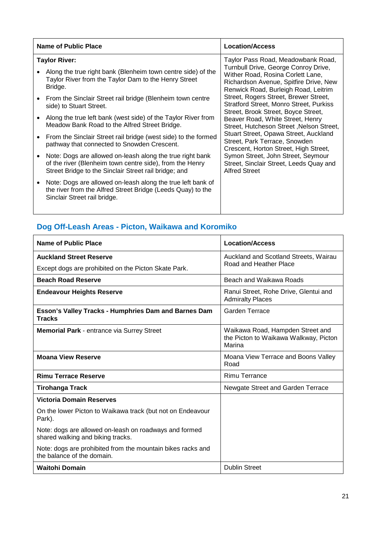| Name of Public Place                                                                                                                                                           | <b>Location/Access</b>                                                                                                                                      |
|--------------------------------------------------------------------------------------------------------------------------------------------------------------------------------|-------------------------------------------------------------------------------------------------------------------------------------------------------------|
| <b>Taylor River:</b>                                                                                                                                                           | Taylor Pass Road, Meadowbank Road,                                                                                                                          |
| Along the true right bank (Blenheim town centre side) of the<br>Taylor River from the Taylor Dam to the Henry Street<br>Bridge.                                                | Turnbull Drive, George Conroy Drive,<br>Wither Road, Rosina Corlett Lane,<br>Richardson Avenue, Spitfire Drive, New<br>Renwick Road, Burleigh Road, Leitrim |
| From the Sinclair Street rail bridge (Blenheim town centre<br>side) to Stuart Street.                                                                                          | Street, Rogers Street, Brewer Street,<br><b>Stratford Street, Monro Street, Purkiss</b><br>Street, Brook Street, Boyce Street,                              |
| Along the true left bank (west side) of the Taylor River from<br>Meadow Bank Road to the Alfred Street Bridge.                                                                 | Beaver Road, White Street, Henry<br>Street, Hutcheson Street, Nelson Street,                                                                                |
| From the Sinclair Street rail bridge (west side) to the formed<br>pathway that connected to Snowden Crescent.                                                                  | Stuart Street, Opawa Street, Auckland<br>Street, Park Terrace, Snowden<br>Crescent, Horton Street, High Street,                                             |
| Note: Dogs are allowed on-leash along the true right bank<br>of the river (Blenheim town centre side), from the Henry<br>Street Bridge to the Sinclair Street rail bridge; and | Symon Street, John Street, Seymour<br>Street, Sinclair Street, Leeds Quay and<br><b>Alfred Street</b>                                                       |
| Note: Dogs are allowed on-leash along the true left bank of<br>the river from the Alfred Street Bridge (Leeds Quay) to the<br>Sinclair Street rail bridge.                     |                                                                                                                                                             |
|                                                                                                                                                                                |                                                                                                                                                             |

# **Dog Off-Leash Areas - Picton, Waikawa and Koromiko**

| Name of Public Place                                                                        | <b>Location/Access</b>                                                              |
|---------------------------------------------------------------------------------------------|-------------------------------------------------------------------------------------|
| <b>Auckland Street Reserve</b>                                                              | Auckland and Scotland Streets, Wairau                                               |
| Except dogs are prohibited on the Picton Skate Park.                                        | Road and Heather Place                                                              |
| <b>Beach Road Reserve</b>                                                                   | Beach and Waikawa Roads                                                             |
| <b>Endeavour Heights Reserve</b>                                                            | Ranui Street, Rohe Drive, Glentui and<br><b>Admiralty Places</b>                    |
| <b>Esson's Valley Tracks - Humphries Dam and Barnes Dam</b><br><b>Tracks</b>                | Garden Terrace                                                                      |
| <b>Memorial Park - entrance via Surrey Street</b>                                           | Waikawa Road, Hampden Street and<br>the Picton to Waikawa Walkway, Picton<br>Marina |
| <b>Moana View Reserve</b>                                                                   | Moana View Terrace and Boons Valley<br>Road                                         |
| <b>Rimu Terrace Reserve</b>                                                                 | <b>Rimu Terrance</b>                                                                |
| <b>Tirohanga Track</b>                                                                      | Newgate Street and Garden Terrace                                                   |
| <b>Victoria Domain Reserves</b>                                                             |                                                                                     |
| On the lower Picton to Waikawa track (but not on Endeavour<br>Park).                        |                                                                                     |
| Note: dogs are allowed on-leash on roadways and formed<br>shared walking and biking tracks. |                                                                                     |
| Note: dogs are prohibited from the mountain bikes racks and<br>the balance of the domain.   |                                                                                     |
| <b>Waitohi Domain</b>                                                                       | <b>Dublin Street</b>                                                                |